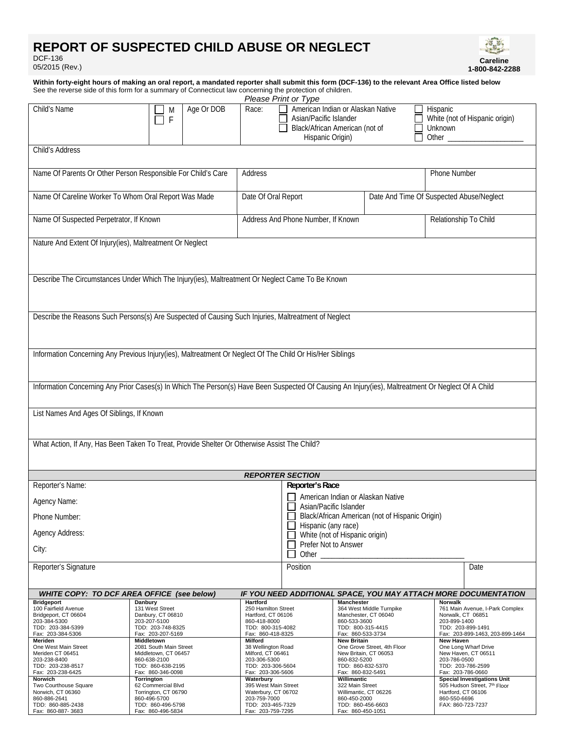# **REPORT OF SUSPECTED CHILD ABUSE OR NEGLECT**

DCF-136 05/2015 (Rev.)



**Within forty-eight hours of making an oral report, a mandated reporter shall submit this form (DCF-136) to the relevant Area Office listed below** See the reverse side of this form for a summary of Connecticut law concerning the protection of children. *Please Print or Type*  Age Or DOB Race: Child's Name  $\Box$  M American Indian or Alaskan Native **Hispanic**  $\overline{\phantom{a}}$  $\blacksquare$  Asian/Pacific Islander  $\Box$  White (not of Hispanic origin)  $\Box$  F L Black/African American (not of **Unknown** Hispanic Origin)  $\Box$  Other Child's Address Name Of Parents Or Other Person Responsible For Child's Care Address Phone Number

|                                                                                                                                                    | Name Of Parents Or Other Person Responsible For Child's Care                                              | Address                             |                                                                        |                                         | Phone Number                                                                      |  |
|----------------------------------------------------------------------------------------------------------------------------------------------------|-----------------------------------------------------------------------------------------------------------|-------------------------------------|------------------------------------------------------------------------|-----------------------------------------|-----------------------------------------------------------------------------------|--|
| Name Of Careline Worker To Whom Oral Report Was Made                                                                                               |                                                                                                           | Date Of Oral Report                 |                                                                        |                                         | Date And Time Of Suspected Abuse/Neglect                                          |  |
| Name Of Suspected Perpetrator, If Known                                                                                                            |                                                                                                           | Address And Phone Number, If Known  |                                                                        |                                         | Relationship To Child                                                             |  |
| Nature And Extent Of Injury(ies), Maltreatment Or Neglect                                                                                          |                                                                                                           |                                     |                                                                        |                                         |                                                                                   |  |
|                                                                                                                                                    |                                                                                                           |                                     |                                                                        |                                         |                                                                                   |  |
| Describe The Circumstances Under Which The Injury(ies), Maltreatment Or Neglect Came To Be Known                                                   |                                                                                                           |                                     |                                                                        |                                         |                                                                                   |  |
|                                                                                                                                                    |                                                                                                           |                                     |                                                                        |                                         |                                                                                   |  |
| Describe the Reasons Such Persons(s) Are Suspected of Causing Such Injuries, Maltreatment of Neglect                                               |                                                                                                           |                                     |                                                                        |                                         |                                                                                   |  |
|                                                                                                                                                    |                                                                                                           |                                     |                                                                        |                                         |                                                                                   |  |
|                                                                                                                                                    | Information Concerning Any Previous Injury(ies), Maltreatment Or Neglect Of The Child Or His/Her Siblings |                                     |                                                                        |                                         |                                                                                   |  |
|                                                                                                                                                    |                                                                                                           |                                     |                                                                        |                                         |                                                                                   |  |
| Information Concerning Any Prior Cases(s) In Which The Person(s) Have Been Suspected Of Causing An Injury(ies), Maltreatment Or Neglect Of A Child |                                                                                                           |                                     |                                                                        |                                         |                                                                                   |  |
|                                                                                                                                                    |                                                                                                           |                                     |                                                                        |                                         |                                                                                   |  |
| List Names And Ages Of Siblings, If Known                                                                                                          |                                                                                                           |                                     |                                                                        |                                         |                                                                                   |  |
| What Action, If Any, Has Been Taken To Treat, Provide Shelter Or Otherwise Assist The Child?                                                       |                                                                                                           |                                     |                                                                        |                                         |                                                                                   |  |
|                                                                                                                                                    |                                                                                                           |                                     |                                                                        |                                         |                                                                                   |  |
| <b>REPORTER SECTION</b>                                                                                                                            |                                                                                                           |                                     |                                                                        |                                         |                                                                                   |  |
| Reporter's Name:                                                                                                                                   |                                                                                                           |                                     | Reporter's Race                                                        |                                         |                                                                                   |  |
| Agency Name:                                                                                                                                       |                                                                                                           |                                     | American Indian or Alaskan Native<br>Asian/Pacific Islander            |                                         |                                                                                   |  |
| Phone Number:                                                                                                                                      |                                                                                                           |                                     | Black/African American (not of Hispanic Origin)<br>Hispanic (any race) |                                         |                                                                                   |  |
| <b>Agency Address:</b>                                                                                                                             |                                                                                                           |                                     | White (not of Hispanic origin)                                         |                                         |                                                                                   |  |
| City:                                                                                                                                              |                                                                                                           |                                     | Prefer Not to Answer<br>Other $\_\_$                                   |                                         |                                                                                   |  |
| Reporter's Signature                                                                                                                               |                                                                                                           |                                     | Position                                                               |                                         | Date                                                                              |  |
|                                                                                                                                                    |                                                                                                           |                                     |                                                                        |                                         |                                                                                   |  |
| WHITE COPY: TO DCF AREA OFFICE (see below)<br><b>Bridgeport</b>                                                                                    | Danbury                                                                                                   | <b>Hartford</b>                     |                                                                        | Manchester                              | IF YOU NEED ADDITIONAL SPACE, YOU MAY ATTACH MORE DOCUMENTATION<br><b>Norwalk</b> |  |
| 100 Fairfield Avenue                                                                                                                               | 131 West Street                                                                                           | 250 Hamilton Street                 |                                                                        | 364 West Middle Turnpike                | 761 Main Avenue, I-Park Complex                                                   |  |
| Bridgeport, CT 06604<br>203-384-5300                                                                                                               | Danbury, CT 06810<br>203-207-5100                                                                         | Hartford, CT 06106<br>860-418-8000  |                                                                        | Manchester, CT 06040<br>860-533-3600    | Norwalk, CT 06851<br>203-899-1400                                                 |  |
| TDD: 203-384-5399                                                                                                                                  | TDD: 203-748-8325                                                                                         | TDD: 800-315-4082                   |                                                                        | TDD: 800-315-4415                       | TDD: 203-899-1491                                                                 |  |
| Fax: 203-384-5306<br>Meriden                                                                                                                       | Fax: 203-207-5169<br>Middletown                                                                           | Fax: 860-418-8325<br><b>Milford</b> |                                                                        | Fax: 860-533-3734<br><b>New Britain</b> | Fax: 203-899-1463, 203-899-1464<br><b>New Haven</b>                               |  |
| One West Main Street                                                                                                                               | 2081 South Main Street                                                                                    | 38 Wellington Road                  |                                                                        | One Grove Street, 4th Floor             | One Long Wharf Drive                                                              |  |
| Meriden CT 06451                                                                                                                                   | Middletown, CT 06457                                                                                      | Milford, CT 06461                   |                                                                        | New Britain, CT 06053                   | New Haven, CT 06511                                                               |  |
| 203-238-8400<br>TDD: 203-238-8517                                                                                                                  | 860-638-2100<br>TDD: 860-638-2195                                                                         | 203-306-5300<br>TDD: 203-306-5604   |                                                                        | 860-832-5200<br>TDD: 860-832-5370       | 203-786-0500<br>TDD: 203-786-2599                                                 |  |
| Fax: 203-238-6425                                                                                                                                  | Fax: 860-346-0098                                                                                         | Fax: 203-306-5606                   |                                                                        | Fax: 860-832-5491                       | Fax: 203-786-0660                                                                 |  |
| Norwich<br>Two Courthouse Square                                                                                                                   | Torrington<br>Waterbury<br>62 Commercial Blvd<br>395 West Main Street                                     |                                     |                                                                        | Willimantic<br>322 Main Street          | <b>Special Investigations Unit</b><br>505 Hudson Street, 7th Floor                |  |
| Norwich. CT 06360                                                                                                                                  | Torrington, CT 06790<br>Waterbury, CT 06702                                                               |                                     |                                                                        | Willimantic, CT 06226                   | Hartford, CT 06106                                                                |  |
| 860-886-2641<br>TDD: 860-885-2438                                                                                                                  | 860-496-5700<br>203-759-7000<br>TDD: 860-496-5798<br>TDD: 203-465-7329                                    |                                     |                                                                        | 860-450-2000<br>TDD: 860-456-6603       | 860-550-6696<br>FAX: 860-723-7237                                                 |  |
| Fax: 860-887-3683                                                                                                                                  | Fax: 860-496-5834                                                                                         | Fax: 203-759-7295                   |                                                                        | Fax: 860-450-1051                       |                                                                                   |  |